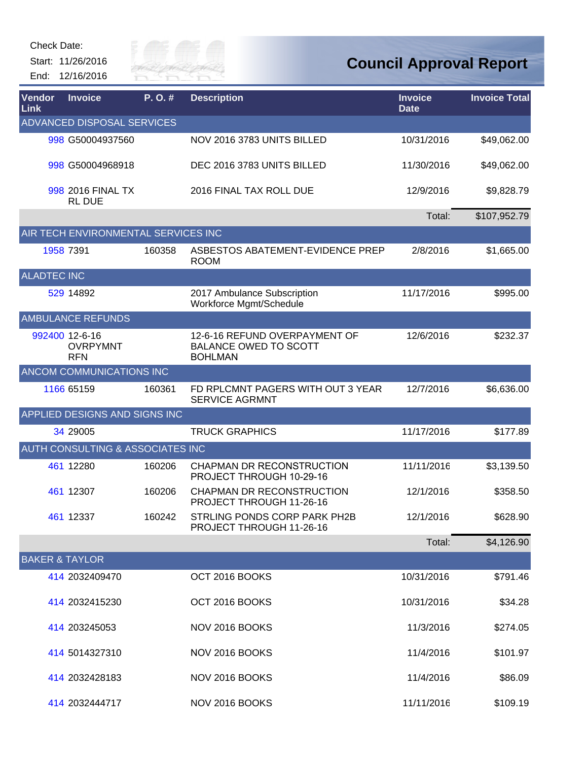Start: 11/26/2016 End: 12/16/2016



| Vendor<br>Link            | <b>Invoice</b>                                  | P.O.#  | <b>Description</b>                                                              | <b>Invoice</b><br><b>Date</b> | <b>Invoice Total</b> |
|---------------------------|-------------------------------------------------|--------|---------------------------------------------------------------------------------|-------------------------------|----------------------|
|                           | ADVANCED DISPOSAL SERVICES                      |        |                                                                                 |                               |                      |
|                           | 998 G50004937560                                |        | NOV 2016 3783 UNITS BILLED                                                      | 10/31/2016                    | \$49,062.00          |
|                           | 998 G50004968918                                |        | DEC 2016 3783 UNITS BILLED                                                      | 11/30/2016                    | \$49,062.00          |
|                           | 998 2016 FINAL TX<br><b>RL DUE</b>              |        | 2016 FINAL TAX ROLL DUE                                                         | 12/9/2016                     | \$9,828.79           |
|                           |                                                 |        |                                                                                 | Total:                        | \$107,952.79         |
|                           | AIR TECH ENVIRONMENTAL SERVICES INC             |        |                                                                                 |                               |                      |
|                           | 1958 7391                                       | 160358 | ASBESTOS ABATEMENT-EVIDENCE PREP<br><b>ROOM</b>                                 | 2/8/2016                      | \$1,665.00           |
| <b>ALADTEC INC</b>        |                                                 |        |                                                                                 |                               |                      |
|                           | 529 14892                                       |        | 2017 Ambulance Subscription<br>Workforce Mgmt/Schedule                          | 11/17/2016                    | \$995.00             |
|                           | <b>AMBULANCE REFUNDS</b>                        |        |                                                                                 |                               |                      |
|                           | 992400 12-6-16<br><b>OVRPYMNT</b><br><b>RFN</b> |        | 12-6-16 REFUND OVERPAYMENT OF<br><b>BALANCE OWED TO SCOTT</b><br><b>BOHLMAN</b> | 12/6/2016                     | \$232.37             |
|                           | ANCOM COMMUNICATIONS INC                        |        |                                                                                 |                               |                      |
|                           | 1166 65159                                      | 160361 | FD RPLCMNT PAGERS WITH OUT 3 YEAR<br><b>SERVICE AGRMNT</b>                      | 12/7/2016                     | \$6,636.00           |
|                           | APPLIED DESIGNS AND SIGNS INC                   |        |                                                                                 |                               |                      |
|                           | 34 29005                                        |        | <b>TRUCK GRAPHICS</b>                                                           | 11/17/2016                    | \$177.89             |
|                           | <b>AUTH CONSULTING &amp; ASSOCIATES INC</b>     |        |                                                                                 |                               |                      |
|                           | 461 12280                                       | 160206 | CHAPMAN DR RECONSTRUCTION<br>PROJECT THROUGH 10-29-16                           | 11/11/2016                    | \$3,139.50           |
|                           | 461 12307                                       | 160206 | CHAPMAN DR RECONSTRUCTION<br>PROJECT THROUGH 11-26-16                           | 12/1/2016                     | \$358.50             |
|                           | 461 12337                                       | 160242 | STRLING PONDS CORP PARK PH2B<br>PROJECT THROUGH 11-26-16                        | 12/1/2016                     | \$628.90             |
|                           |                                                 |        |                                                                                 | Total:                        | \$4,126.90           |
| <b>BAKER &amp; TAYLOR</b> |                                                 |        |                                                                                 |                               |                      |
|                           | 414 2032409470                                  |        | OCT 2016 BOOKS                                                                  | 10/31/2016                    | \$791.46             |
|                           | 414 2032415230                                  |        | OCT 2016 BOOKS                                                                  | 10/31/2016                    | \$34.28              |
|                           | 414 203245053                                   |        | NOV 2016 BOOKS                                                                  | 11/3/2016                     | \$274.05             |
|                           | 414 5014327310                                  |        | NOV 2016 BOOKS                                                                  | 11/4/2016                     | \$101.97             |
|                           | 414 2032428183                                  |        | NOV 2016 BOOKS                                                                  | 11/4/2016                     | \$86.09              |
|                           | 414 2032444717                                  |        | NOV 2016 BOOKS                                                                  | 11/11/2016                    | \$109.19             |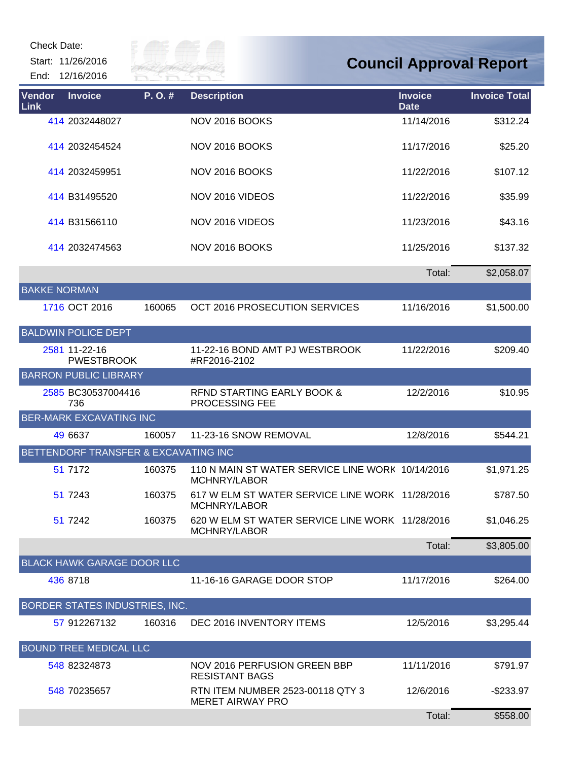Start: 11/26/2016 End: 12/16/2016



| Vendor<br>Link      | <b>Invoice</b>                       | P.O.#  | <b>Description</b>                                               | <b>Invoice</b><br><b>Date</b> | <b>Invoice Total</b> |
|---------------------|--------------------------------------|--------|------------------------------------------------------------------|-------------------------------|----------------------|
|                     | 414 2032448027                       |        | NOV 2016 BOOKS                                                   | 11/14/2016                    | \$312.24             |
|                     | 414 2032454524                       |        | NOV 2016 BOOKS                                                   | 11/17/2016                    | \$25.20              |
|                     | 414 2032459951                       |        | NOV 2016 BOOKS                                                   | 11/22/2016                    | \$107.12             |
|                     | 414 B31495520                        |        | NOV 2016 VIDEOS                                                  | 11/22/2016                    | \$35.99              |
|                     | 414 B31566110                        |        | NOV 2016 VIDEOS                                                  | 11/23/2016                    | \$43.16              |
|                     | 414 2032474563                       |        | NOV 2016 BOOKS                                                   | 11/25/2016                    | \$137.32             |
|                     |                                      |        |                                                                  | Total:                        | \$2,058.07           |
| <b>BAKKE NORMAN</b> |                                      |        |                                                                  |                               |                      |
|                     | 1716 OCT 2016                        | 160065 | OCT 2016 PROSECUTION SERVICES                                    | 11/16/2016                    | \$1,500.00           |
|                     | <b>BALDWIN POLICE DEPT</b>           |        |                                                                  |                               |                      |
|                     | 2581 11-22-16<br><b>PWESTBROOK</b>   |        | 11-22-16 BOND AMT PJ WESTBROOK<br>#RF2016-2102                   | 11/22/2016                    | \$209.40             |
|                     | <b>BARRON PUBLIC LIBRARY</b>         |        |                                                                  |                               |                      |
|                     | 2585 BC30537004416<br>736            |        | RFND STARTING EARLY BOOK &<br><b>PROCESSING FEE</b>              | 12/2/2016                     | \$10.95              |
|                     | <b>BER-MARK EXCAVATING INC</b>       |        |                                                                  |                               |                      |
|                     | 49 6637                              | 160057 | 11-23-16 SNOW REMOVAL                                            | 12/8/2016                     | \$544.21             |
|                     | BETTENDORF TRANSFER & EXCAVATING INC |        |                                                                  |                               |                      |
|                     | 51 7172                              | 160375 | 110 N MAIN ST WATER SERVICE LINE WORK 10/14/2016<br>MCHNRY/LABOR |                               | \$1,971.25           |
|                     | 51 7243                              | 160375 | 617 W ELM ST WATER SERVICE LINE WORK 11/28/2016<br>MCHNRY/LABOR  |                               | \$787.50             |
|                     | 51 7242                              | 160375 | 620 W ELM ST WATER SERVICE LINE WORK 11/28/2016<br>MCHNRY/LABOR  |                               | \$1,046.25           |
|                     |                                      |        |                                                                  | Total:                        | \$3,805.00           |
|                     | <b>BLACK HAWK GARAGE DOOR LLC</b>    |        |                                                                  |                               |                      |
|                     | 436 8718                             |        | 11-16-16 GARAGE DOOR STOP                                        | 11/17/2016                    | \$264.00             |
|                     | BORDER STATES INDUSTRIES, INC.       |        |                                                                  |                               |                      |
|                     | 57 912267132                         | 160316 | DEC 2016 INVENTORY ITEMS                                         | 12/5/2016                     | \$3,295.44           |
|                     | <b>BOUND TREE MEDICAL LLC</b>        |        |                                                                  |                               |                      |
|                     | 548 82324873                         |        | NOV 2016 PERFUSION GREEN BBP<br><b>RESISTANT BAGS</b>            | 11/11/2016                    | \$791.97             |
|                     | 548 70235657                         |        | RTN ITEM NUMBER 2523-00118 QTY 3<br><b>MERET AIRWAY PRO</b>      | 12/6/2016                     | $-$ \$233.97         |
|                     |                                      |        |                                                                  | Total:                        | \$558.00             |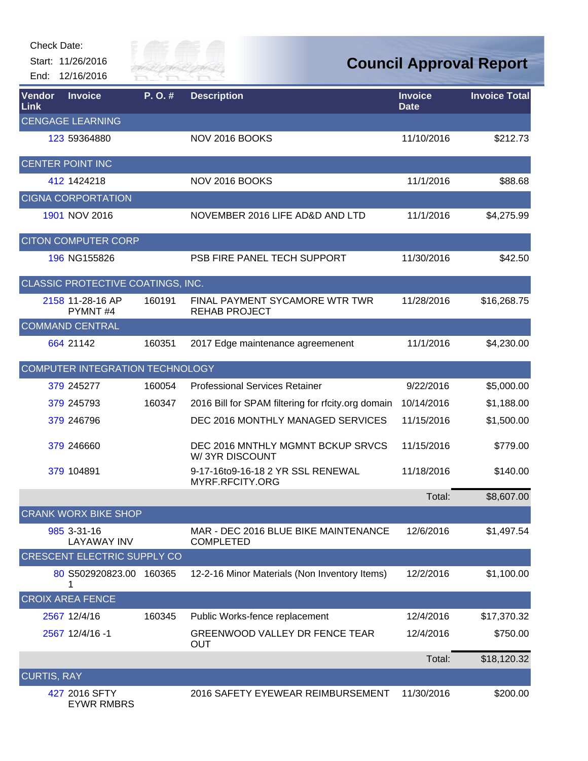

| Vendor<br>Link     | <b>Invoice</b>                     | P.O.#  | <b>Description</b>                                       | <b>Invoice</b><br><b>Date</b> | <b>Invoice Total</b> |
|--------------------|------------------------------------|--------|----------------------------------------------------------|-------------------------------|----------------------|
|                    | <b>CENGAGE LEARNING</b>            |        |                                                          |                               |                      |
|                    | 123 59364880                       |        | NOV 2016 BOOKS                                           | 11/10/2016                    | \$212.73             |
|                    | <b>CENTER POINT INC</b>            |        |                                                          |                               |                      |
|                    | 412 1424218                        |        | NOV 2016 BOOKS                                           | 11/1/2016                     | \$88.68              |
|                    | <b>CIGNA CORPORTATION</b>          |        |                                                          |                               |                      |
|                    | 1901 NOV 2016                      |        | NOVEMBER 2016 LIFE AD&D AND LTD                          | 11/1/2016                     | \$4,275.99           |
|                    | <b>CITON COMPUTER CORP</b>         |        |                                                          |                               |                      |
|                    | 196 NG155826                       |        | PSB FIRE PANEL TECH SUPPORT                              | 11/30/2016                    | \$42.50              |
|                    | CLASSIC PROTECTIVE COATINGS, INC.  |        |                                                          |                               |                      |
|                    | 2158 11-28-16 AP<br>PYMNT#4        | 160191 | FINAL PAYMENT SYCAMORE WTR TWR<br><b>REHAB PROJECT</b>   | 11/28/2016                    | \$16,268.75          |
|                    | <b>COMMAND CENTRAL</b>             |        |                                                          |                               |                      |
|                    | 664 21142                          | 160351 | 2017 Edge maintenance agreemenent                        | 11/1/2016                     | \$4,230.00           |
|                    | COMPUTER INTEGRATION TECHNOLOGY    |        |                                                          |                               |                      |
|                    | 379 245277                         | 160054 | <b>Professional Services Retainer</b>                    | 9/22/2016                     | \$5,000.00           |
|                    | 379 245793                         | 160347 | 2016 Bill for SPAM filtering for rfcity.org domain       | 10/14/2016                    | \$1,188.00           |
|                    | 379 246796                         |        | DEC 2016 MONTHLY MANAGED SERVICES                        | 11/15/2016                    | \$1,500.00           |
|                    | 379 246660                         |        | DEC 2016 MNTHLY MGMNT BCKUP SRVCS<br>W/3YR DISCOUNT      | 11/15/2016                    | \$779.00             |
|                    | 379 104891                         |        | 9-17-16to9-16-18 2 YR SSL RENEWAL<br>MYRF.RFCITY.ORG     | 11/18/2016                    | \$140.00             |
|                    |                                    |        |                                                          | Total:                        | \$8,607.00           |
|                    | <b>CRANK WORX BIKE SHOP</b>        |        |                                                          |                               |                      |
|                    | 985 3-31-16<br><b>LAYAWAY INV</b>  |        | MAR - DEC 2016 BLUE BIKE MAINTENANCE<br><b>COMPLETED</b> | 12/6/2016                     | \$1,497.54           |
|                    | <b>CRESCENT ELECTRIC SUPPLY CO</b> |        |                                                          |                               |                      |
|                    | 80 S502920823.00 160365            |        | 12-2-16 Minor Materials (Non Inventory Items)            | 12/2/2016                     | \$1,100.00           |
|                    | <b>CROIX AREA FENCE</b>            |        |                                                          |                               |                      |
|                    | 2567 12/4/16                       | 160345 | Public Works-fence replacement                           | 12/4/2016                     | \$17,370.32          |
|                    | 2567 12/4/16 -1                    |        | GREENWOOD VALLEY DR FENCE TEAR<br>OUT                    | 12/4/2016                     | \$750.00             |
|                    |                                    |        |                                                          | Total:                        | \$18,120.32          |
| <b>CURTIS, RAY</b> |                                    |        |                                                          |                               |                      |
|                    | 427 2016 SFTY                      |        | 2016 SAFETY EYEWEAR REIMBURSEMENT                        | 11/30/2016                    | \$200.00             |

EYWR RMBRS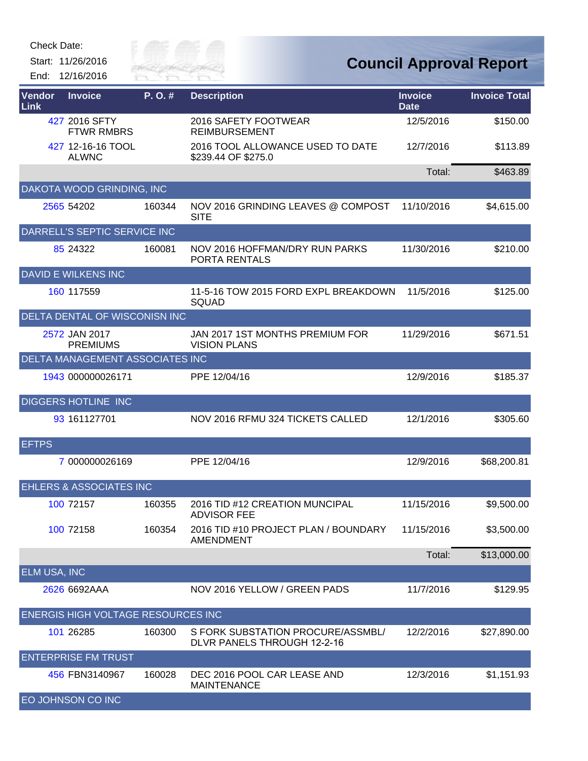Start: 11/26/2016 End: 12/16/2016



| Vendor<br>Link      | <b>Invoice</b>                            | P.O.#  | <b>Description</b>                                               | <b>Invoice</b><br><b>Date</b> | <b>Invoice Total</b> |
|---------------------|-------------------------------------------|--------|------------------------------------------------------------------|-------------------------------|----------------------|
|                     | 427 2016 SFTY<br><b>FTWR RMBRS</b>        |        | 2016 SAFETY FOOTWEAR<br><b>REIMBURSEMENT</b>                     | 12/5/2016                     | \$150.00             |
|                     | 427 12-16-16 TOOL<br><b>ALWNC</b>         |        | 2016 TOOL ALLOWANCE USED TO DATE<br>\$239.44 OF \$275.0          | 12/7/2016                     | \$113.89             |
|                     |                                           |        |                                                                  | Total:                        | \$463.89             |
|                     | DAKOTA WOOD GRINDING, INC                 |        |                                                                  |                               |                      |
|                     | 2565 54202                                | 160344 | NOV 2016 GRINDING LEAVES @ COMPOST<br><b>SITE</b>                | 11/10/2016                    | \$4,615.00           |
|                     | DARRELL'S SEPTIC SERVICE INC              |        |                                                                  |                               |                      |
|                     | 85 24322                                  | 160081 | NOV 2016 HOFFMAN/DRY RUN PARKS<br>PORTA RENTALS                  | 11/30/2016                    | \$210.00             |
|                     | <b>DAVID E WILKENS INC</b>                |        |                                                                  |                               |                      |
|                     | 160 117559                                |        | 11-5-16 TOW 2015 FORD EXPL BREAKDOWN<br><b>SQUAD</b>             | 11/5/2016                     | \$125.00             |
|                     | <b>DELTA DENTAL OF WISCONISN INC</b>      |        |                                                                  |                               |                      |
|                     | 2572 JAN 2017<br><b>PREMIUMS</b>          |        | JAN 2017 1ST MONTHS PREMIUM FOR<br><b>VISION PLANS</b>           | 11/29/2016                    | \$671.51             |
|                     | <b>DELTA MANAGEMENT ASSOCIATES INC</b>    |        |                                                                  |                               |                      |
|                     | 1943 000000026171                         |        | PPE 12/04/16                                                     | 12/9/2016                     | \$185.37             |
|                     | <b>DIGGERS HOTLINE INC</b>                |        |                                                                  |                               |                      |
|                     | 93 161127701                              |        | NOV 2016 RFMU 324 TICKETS CALLED                                 | 12/1/2016                     | \$305.60             |
| <b>EFTPS</b>        |                                           |        |                                                                  |                               |                      |
|                     | 7 000000026169                            |        | PPE 12/04/16                                                     | 12/9/2016                     | \$68,200.81          |
|                     | <b>EHLERS &amp; ASSOCIATES INC</b>        |        |                                                                  |                               |                      |
|                     | 100 72157                                 | 160355 | 2016 TID #12 CREATION MUNCIPAL<br><b>ADVISOR FEE</b>             | 11/15/2016                    | \$9,500.00           |
|                     | 100 72158                                 | 160354 | 2016 TID #10 PROJECT PLAN / BOUNDARY<br><b>AMENDMENT</b>         | 11/15/2016                    | \$3,500.00           |
|                     |                                           |        |                                                                  | Total:                        | \$13,000.00          |
| <b>ELM USA, INC</b> |                                           |        |                                                                  |                               |                      |
|                     | 2626 6692AAA                              |        | NOV 2016 YELLOW / GREEN PADS                                     | 11/7/2016                     | \$129.95             |
|                     | <b>ENERGIS HIGH VOLTAGE RESOURCES INC</b> |        |                                                                  |                               |                      |
|                     | 101 26285                                 | 160300 | S FORK SUBSTATION PROCURE/ASSMBL/<br>DLVR PANELS THROUGH 12-2-16 | 12/2/2016                     | \$27,890.00          |
|                     | <b>ENTERPRISE FM TRUST</b>                |        |                                                                  |                               |                      |
|                     | 456 FBN3140967                            | 160028 | DEC 2016 POOL CAR LEASE AND<br><b>MAINTENANCE</b>                | 12/3/2016                     | \$1,151.93           |
|                     | <b>EO JOHNSON CO INC</b>                  |        |                                                                  |                               |                      |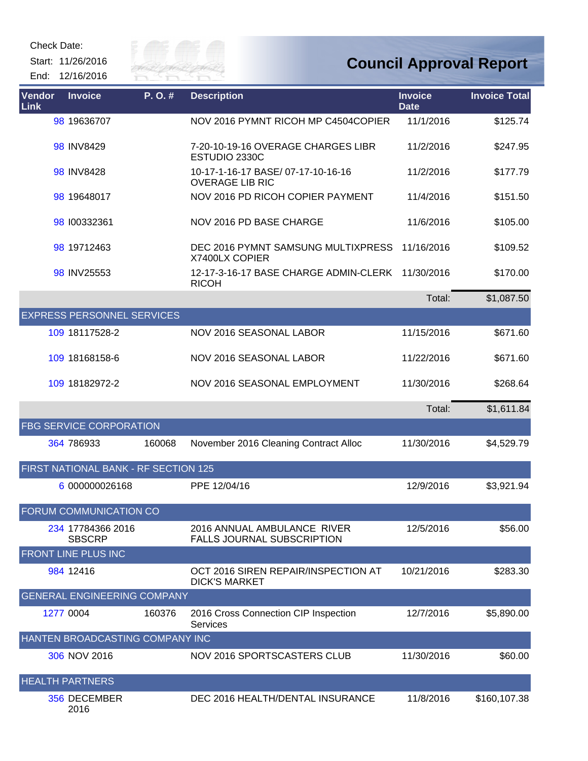Start: 11/26/2016 End: 12/16/2016



| Vendor<br>Link | <b>Invoice</b>                       | P.O.#  | <b>Description</b>                                               | <b>Invoice</b><br><b>Date</b> | <b>Invoice Total</b> |
|----------------|--------------------------------------|--------|------------------------------------------------------------------|-------------------------------|----------------------|
|                | 98 19636707                          |        | NOV 2016 PYMNT RICOH MP C4504COPIER                              | 11/1/2016                     | \$125.74             |
|                | 98 INV8429                           |        | 7-20-10-19-16 OVERAGE CHARGES LIBR<br>ESTUDIO 2330C              | 11/2/2016                     | \$247.95             |
|                | 98 INV8428                           |        | 10-17-1-16-17 BASE/ 07-17-10-16-16<br><b>OVERAGE LIB RIC</b>     | 11/2/2016                     | \$177.79             |
|                | 98 19648017                          |        | NOV 2016 PD RICOH COPIER PAYMENT                                 | 11/4/2016                     | \$151.50             |
|                | 98 100332361                         |        | NOV 2016 PD BASE CHARGE                                          | 11/6/2016                     | \$105.00             |
|                | 98 19712463                          |        | DEC 2016 PYMNT SAMSUNG MULTIXPRESS<br>X7400LX COPIER             | 11/16/2016                    | \$109.52             |
|                | 98 INV25553                          |        | 12-17-3-16-17 BASE CHARGE ADMIN-CLERK<br><b>RICOH</b>            | 11/30/2016                    | \$170.00             |
|                |                                      |        |                                                                  | Total:                        | \$1,087.50           |
|                | <b>EXPRESS PERSONNEL SERVICES</b>    |        |                                                                  |                               |                      |
|                | 109 18117528-2                       |        | <b>NOV 2016 SEASONAL LABOR</b>                                   | 11/15/2016                    | \$671.60             |
|                | 109 18168158-6                       |        | NOV 2016 SEASONAL LABOR                                          | 11/22/2016                    | \$671.60             |
|                | 109 18182972-2                       |        | NOV 2016 SEASONAL EMPLOYMENT                                     | 11/30/2016                    | \$268.64             |
|                |                                      |        |                                                                  | Total:                        | \$1,611.84           |
|                | FBG SERVICE CORPORATION              |        |                                                                  |                               |                      |
|                | 364 786933                           | 160068 | November 2016 Cleaning Contract Alloc                            | 11/30/2016                    | \$4,529.79           |
|                | FIRST NATIONAL BANK - RF SECTION 125 |        |                                                                  |                               |                      |
|                | 6 000000026168                       |        | PPE 12/04/16                                                     | 12/9/2016                     | \$3,921.94           |
|                | FORUM COMMUNICATION CO               |        |                                                                  |                               |                      |
|                | 234 17784366 2016<br><b>SBSCRP</b>   |        | 2016 ANNUAL AMBULANCE RIVER<br><b>FALLS JOURNAL SUBSCRIPTION</b> | 12/5/2016                     | \$56.00              |
|                | FRONT LINE PLUS INC                  |        |                                                                  |                               |                      |
|                | 984 12416                            |        | OCT 2016 SIREN REPAIR/INSPECTION AT<br><b>DICK'S MARKET</b>      | 10/21/2016                    | \$283.30             |
|                | <b>GENERAL ENGINEERING COMPANY</b>   |        |                                                                  |                               |                      |
|                | 1277 0004                            | 160376 | 2016 Cross Connection CIP Inspection<br><b>Services</b>          | 12/7/2016                     | \$5,890.00           |
|                | HANTEN BROADCASTING COMPANY INC      |        |                                                                  |                               |                      |
|                | 306 NOV 2016                         |        | NOV 2016 SPORTSCASTERS CLUB                                      | 11/30/2016                    | \$60.00              |
|                | <b>HEALTH PARTNERS</b>               |        |                                                                  |                               |                      |
|                | 356 DECEMBER<br>2016                 |        | DEC 2016 HEALTH/DENTAL INSURANCE                                 | 11/8/2016                     | \$160,107.38         |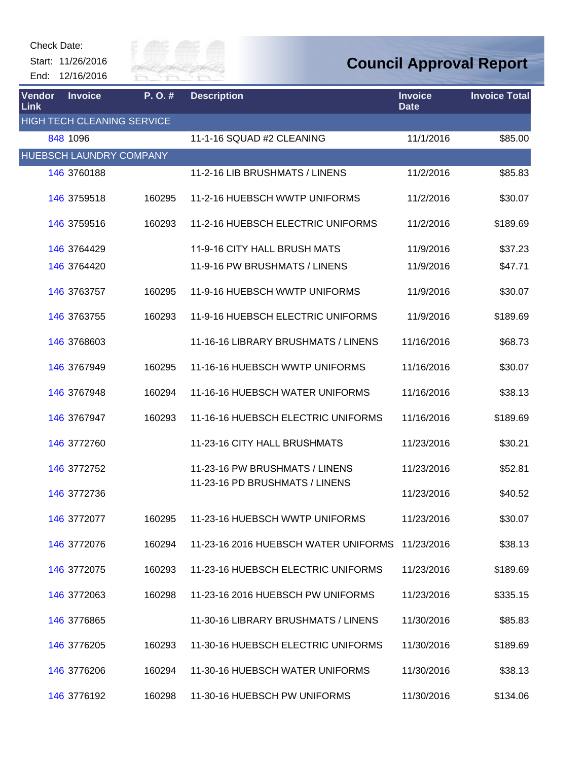Start: 11/26/2016 End: 12/16/2016



| <b>Vendor</b><br><b>Link</b> | <b>Invoice</b>                    | P.O.#  | <b>Description</b>                   | <b>Invoice</b><br><b>Date</b> | <b>Invoice Total</b> |
|------------------------------|-----------------------------------|--------|--------------------------------------|-------------------------------|----------------------|
|                              | <b>HIGH TECH CLEANING SERVICE</b> |        |                                      |                               |                      |
|                              | 848 1096                          |        | 11-1-16 SQUAD #2 CLEANING            | 11/1/2016                     | \$85.00              |
|                              | HUEBSCH LAUNDRY COMPANY           |        |                                      |                               |                      |
|                              | 146 3760188                       |        | 11-2-16 LIB BRUSHMATS / LINENS       | 11/2/2016                     | \$85.83              |
|                              | 146 3759518                       | 160295 | 11-2-16 HUEBSCH WWTP UNIFORMS        | 11/2/2016                     | \$30.07              |
|                              | 146 3759516                       | 160293 | 11-2-16 HUEBSCH ELECTRIC UNIFORMS    | 11/2/2016                     | \$189.69             |
|                              | 146 3764429                       |        | 11-9-16 CITY HALL BRUSH MATS         | 11/9/2016                     | \$37.23              |
|                              | 146 3764420                       |        | 11-9-16 PW BRUSHMATS / LINENS        | 11/9/2016                     | \$47.71              |
|                              | 146 3763757                       | 160295 | 11-9-16 HUEBSCH WWTP UNIFORMS        | 11/9/2016                     | \$30.07              |
|                              | 146 3763755                       | 160293 | 11-9-16 HUEBSCH ELECTRIC UNIFORMS    | 11/9/2016                     | \$189.69             |
|                              | 146 3768603                       |        | 11-16-16 LIBRARY BRUSHMATS / LINENS  | 11/16/2016                    | \$68.73              |
|                              | 146 3767949                       | 160295 | 11-16-16 HUEBSCH WWTP UNIFORMS       | 11/16/2016                    | \$30.07              |
|                              | 146 3767948                       | 160294 | 11-16-16 HUEBSCH WATER UNIFORMS      | 11/16/2016                    | \$38.13              |
|                              | 146 3767947                       | 160293 | 11-16-16 HUEBSCH ELECTRIC UNIFORMS   | 11/16/2016                    | \$189.69             |
|                              | 146 3772760                       |        | 11-23-16 CITY HALL BRUSHMATS         | 11/23/2016                    | \$30.21              |
|                              | 146 3772752                       |        | 11-23-16 PW BRUSHMATS / LINENS       | 11/23/2016                    | \$52.81              |
|                              | 146 3772736                       |        | 11-23-16 PD BRUSHMATS / LINENS       | 11/23/2016                    | \$40.52              |
|                              | 146 3772077                       | 160295 | 11-23-16 HUEBSCH WWTP UNIFORMS       | 11/23/2016                    | \$30.07              |
|                              | 146 3772076                       | 160294 | 11-23-16 2016 HUEBSCH WATER UNIFORMS | 11/23/2016                    | \$38.13              |
|                              | 146 3772075                       | 160293 | 11-23-16 HUEBSCH ELECTRIC UNIFORMS   | 11/23/2016                    | \$189.69             |
|                              | 146 3772063                       | 160298 | 11-23-16 2016 HUEBSCH PW UNIFORMS    | 11/23/2016                    | \$335.15             |
|                              | 146 3776865                       |        | 11-30-16 LIBRARY BRUSHMATS / LINENS  | 11/30/2016                    | \$85.83              |
|                              | 146 3776205                       | 160293 | 11-30-16 HUEBSCH ELECTRIC UNIFORMS   | 11/30/2016                    | \$189.69             |
|                              | 146 3776206                       | 160294 | 11-30-16 HUEBSCH WATER UNIFORMS      | 11/30/2016                    | \$38.13              |
|                              | 146 3776192                       | 160298 | 11-30-16 HUEBSCH PW UNIFORMS         | 11/30/2016                    | \$134.06             |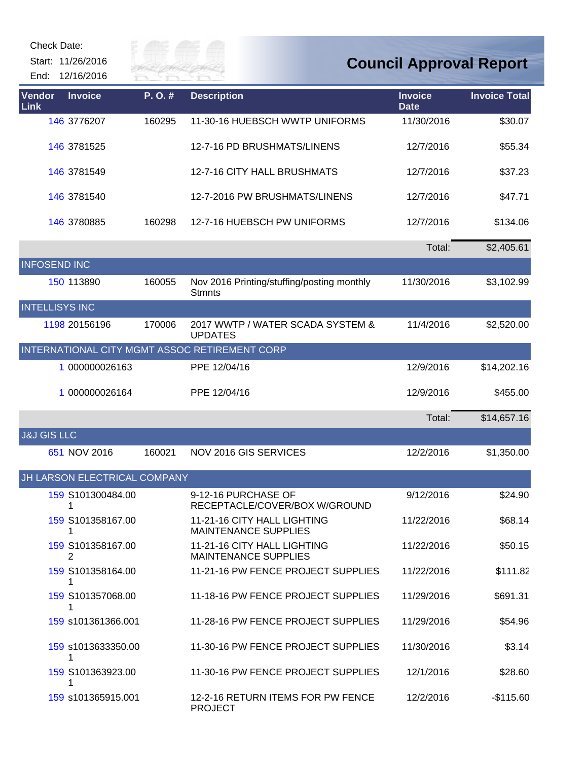Start: 11/26/2016

End: 12/16/2016



| Vendor<br><b>Link</b>  | <b>Invoice</b>               | P.O.#  | <b>Description</b>                                          | <b>Invoice</b><br><b>Date</b> | <b>Invoice Total</b> |
|------------------------|------------------------------|--------|-------------------------------------------------------------|-------------------------------|----------------------|
|                        | 146 3776207                  | 160295 | 11-30-16 HUEBSCH WWTP UNIFORMS                              | 11/30/2016                    | \$30.07              |
|                        | 146 3781525                  |        | 12-7-16 PD BRUSHMATS/LINENS                                 | 12/7/2016                     | \$55.34              |
|                        | 146 3781549                  |        | 12-7-16 CITY HALL BRUSHMATS                                 | 12/7/2016                     | \$37.23              |
|                        | 146 3781540                  |        | 12-7-2016 PW BRUSHMATS/LINENS                               | 12/7/2016                     | \$47.71              |
|                        | 146 3780885                  | 160298 | 12-7-16 HUEBSCH PW UNIFORMS                                 | 12/7/2016                     | \$134.06             |
|                        |                              |        |                                                             | Total:                        | \$2,405.61           |
| <b>INFOSEND INC</b>    |                              |        |                                                             |                               |                      |
|                        | 150 113890                   | 160055 | Nov 2016 Printing/stuffing/posting monthly<br><b>Stmnts</b> | 11/30/2016                    | \$3,102.99           |
| <b>INTELLISYS INC</b>  |                              |        |                                                             |                               |                      |
|                        | 1198 20156196                | 170006 | 2017 WWTP / WATER SCADA SYSTEM &<br><b>UPDATES</b>          | 11/4/2016                     | \$2,520.00           |
|                        |                              |        | INTERNATIONAL CITY MGMT ASSOC RETIREMENT CORP               |                               |                      |
|                        | 1 000000026163               |        | PPE 12/04/16                                                | 12/9/2016                     | \$14,202.16          |
|                        | 1 000000026164               |        | PPE 12/04/16                                                | 12/9/2016                     | \$455.00             |
|                        |                              |        |                                                             | Total:                        | \$14,657.16          |
| <b>J&amp;J GIS LLC</b> |                              |        |                                                             |                               |                      |
|                        | 651 NOV 2016                 | 160021 | NOV 2016 GIS SERVICES                                       | 12/2/2016                     | \$1,350.00           |
|                        | JH LARSON ELECTRICAL COMPANY |        |                                                             |                               |                      |
|                        | 159 S101300484.00<br>1       |        | 9-12-16 PURCHASE OF<br>RECEPTACLE/COVER/BOX W/GROUND        | 9/12/2016                     | \$24.90              |
|                        | 159 S101358167.00<br>1       |        | 11-21-16 CITY HALL LIGHTING<br><b>MAINTENANCE SUPPLIES</b>  | 11/22/2016                    | \$68.14              |
|                        | 159 S101358167.00<br>2       |        | 11-21-16 CITY HALL LIGHTING<br><b>MAINTENANCE SUPPLIES</b>  | 11/22/2016                    | \$50.15              |
|                        | 159 S101358164.00            |        | 11-21-16 PW FENCE PROJECT SUPPLIES                          | 11/22/2016                    | \$111.82             |
|                        | 159 S101357068.00<br>1       |        | 11-18-16 PW FENCE PROJECT SUPPLIES                          | 11/29/2016                    | \$691.31             |
|                        | 159 s101361366.001           |        | 11-28-16 PW FENCE PROJECT SUPPLIES                          | 11/29/2016                    | \$54.96              |
|                        | 159 s1013633350.00<br>1      |        | 11-30-16 PW FENCE PROJECT SUPPLIES                          | 11/30/2016                    | \$3.14               |
|                        | 159 S101363923.00            |        | 11-30-16 PW FENCE PROJECT SUPPLIES                          | 12/1/2016                     | \$28.60              |
|                        | 159 s101365915.001           |        | 12-2-16 RETURN ITEMS FOR PW FENCE<br><b>PROJECT</b>         | 12/2/2016                     | -\$115.60            |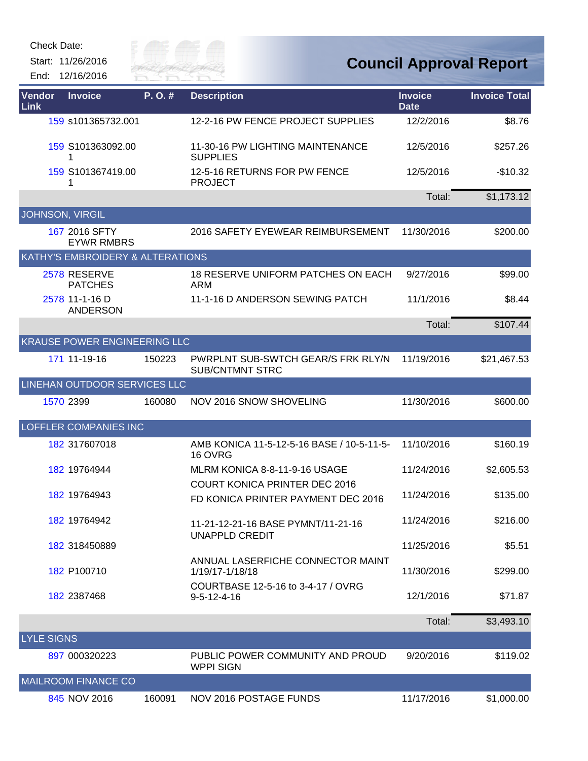Start: 11/26/2016 End: 12/16/2016



| Vendor<br>Link    | <b>Invoice</b>                      | P.O.#  | <b>Description</b>                                           | <b>Invoice</b><br><b>Date</b> | <b>Invoice Total</b> |
|-------------------|-------------------------------------|--------|--------------------------------------------------------------|-------------------------------|----------------------|
|                   | 159 s101365732.001                  |        | 12-2-16 PW FENCE PROJECT SUPPLIES                            | 12/2/2016                     | \$8.76               |
|                   | 159 S101363092.00<br>1              |        | 11-30-16 PW LIGHTING MAINTENANCE<br><b>SUPPLIES</b>          | 12/5/2016                     | \$257.26             |
|                   | 159 S101367419.00<br>1              |        | 12-5-16 RETURNS FOR PW FENCE<br><b>PROJECT</b>               | 12/5/2016                     | $-$10.32$            |
|                   |                                     |        |                                                              | Total:                        | \$1,173.12           |
| JOHNSON, VIRGIL   |                                     |        |                                                              |                               |                      |
|                   | 167 2016 SFTY<br><b>EYWR RMBRS</b>  |        | 2016 SAFETY EYEWEAR REIMBURSEMENT                            | 11/30/2016                    | \$200.00             |
|                   | KATHY'S EMBROIDERY & ALTERATIONS    |        |                                                              |                               |                      |
|                   | 2578 RESERVE<br><b>PATCHES</b>      |        | 18 RESERVE UNIFORM PATCHES ON EACH<br>ARM                    | 9/27/2016                     | \$99.00              |
|                   | 2578 11-1-16 D<br><b>ANDERSON</b>   |        | 11-1-16 D ANDERSON SEWING PATCH                              | 11/1/2016                     | \$8.44               |
|                   |                                     |        |                                                              | Total:                        | \$107.44             |
|                   | <b>KRAUSE POWER ENGINEERING LLC</b> |        |                                                              |                               |                      |
|                   | 171 11-19-16                        | 150223 | PWRPLNT SUB-SWTCH GEAR/S FRK RLY/N<br><b>SUB/CNTMNT STRC</b> | 11/19/2016                    | \$21,467.53          |
|                   | LINEHAN OUTDOOR SERVICES LLC        |        |                                                              |                               |                      |
|                   | 1570 2399                           | 160080 | NOV 2016 SNOW SHOVELING                                      | 11/30/2016                    | \$600.00             |
|                   | LOFFLER COMPANIES INC               |        |                                                              |                               |                      |
|                   | 182 317607018                       |        | AMB KONICA 11-5-12-5-16 BASE / 10-5-11-5-<br>16 OVRG         | 11/10/2016                    | \$160.19             |
|                   | 182 19764944                        |        | MLRM KONICA 8-8-11-9-16 USAGE                                | 11/24/2016                    | \$2,605.53           |
|                   | 182 19764943                        |        | <b>COURT KONICA PRINTER DEC 2016</b>                         | 11/24/2016                    | \$135.00             |
|                   |                                     |        | FD KONICA PRINTER PAYMENT DEC 2016                           |                               |                      |
|                   | 182 19764942                        |        | 11-21-12-21-16 BASE PYMNT/11-21-16<br><b>UNAPPLD CREDIT</b>  | 11/24/2016                    | \$216.00             |
|                   | 182 318450889                       |        |                                                              | 11/25/2016                    | \$5.51               |
|                   | 182 P100710                         |        | ANNUAL LASERFICHE CONNECTOR MAINT<br>1/19/17-1/18/18         | 11/30/2016                    | \$299.00             |
|                   | 182 2387468                         |        | COURTBASE 12-5-16 to 3-4-17 / OVRG<br>$9 - 5 - 12 - 4 - 16$  | 12/1/2016                     | \$71.87              |
|                   |                                     |        |                                                              | Total:                        | \$3,493.10           |
| <b>LYLE SIGNS</b> |                                     |        |                                                              |                               |                      |
|                   | 897 000320223                       |        | PUBLIC POWER COMMUNITY AND PROUD<br><b>WPPI SIGN</b>         | 9/20/2016                     | \$119.02             |
|                   | <b>MAILROOM FINANCE CO</b>          |        |                                                              |                               |                      |
|                   | 845 NOV 2016                        | 160091 | NOV 2016 POSTAGE FUNDS                                       | 11/17/2016                    | \$1,000.00           |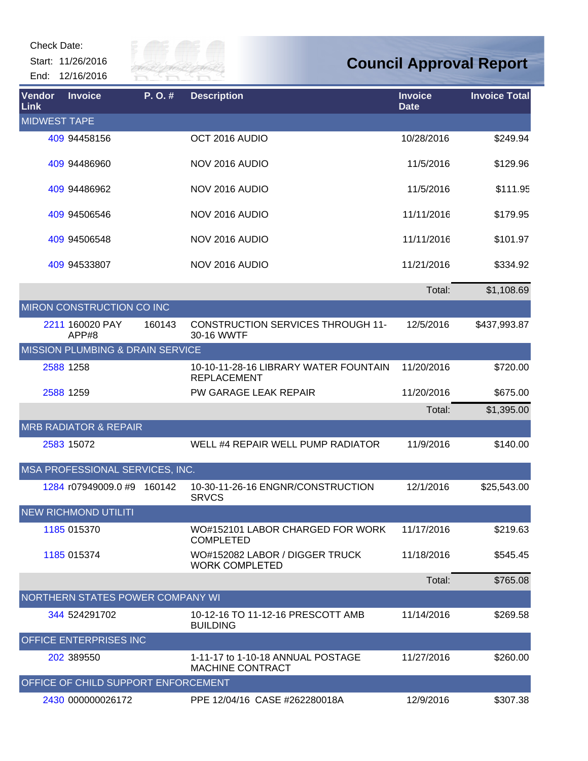Start: 11/26/2016 End: 12/16/2016

| <b>Vendor</b><br>Link | <b>Invoice</b>                              | P.O.#  | <b>Description</b>                                           | <b>Invoice</b><br><b>Date</b> | <b>Invoice Total</b> |
|-----------------------|---------------------------------------------|--------|--------------------------------------------------------------|-------------------------------|----------------------|
| <b>MIDWEST TAPE</b>   |                                             |        |                                                              |                               |                      |
|                       | 409 94458156                                |        | OCT 2016 AUDIO                                               | 10/28/2016                    | \$249.94             |
|                       | 409 94486960                                |        | NOV 2016 AUDIO                                               | 11/5/2016                     | \$129.96             |
|                       | 409 94486962                                |        | NOV 2016 AUDIO                                               | 11/5/2016                     | \$111.95             |
|                       | 409 94506546                                |        | NOV 2016 AUDIO                                               | 11/11/2016                    | \$179.95             |
|                       | 409 94506548                                |        | NOV 2016 AUDIO                                               | 11/11/2016                    | \$101.97             |
|                       | 409 94533807                                |        | NOV 2016 AUDIO                                               | 11/21/2016                    | \$334.92             |
|                       |                                             |        |                                                              | Total:                        | \$1,108.69           |
|                       | MIRON CONSTRUCTION CO INC                   |        |                                                              |                               |                      |
|                       | 2211 160020 PAY<br>APP#8                    | 160143 | <b>CONSTRUCTION SERVICES THROUGH 11-</b><br>30-16 WWTF       | 12/5/2016                     | \$437,993.87         |
|                       | <b>MISSION PLUMBING &amp; DRAIN SERVICE</b> |        |                                                              |                               |                      |
|                       | 2588 1258                                   |        | 10-10-11-28-16 LIBRARY WATER FOUNTAIN<br><b>REPLACEMENT</b>  | 11/20/2016                    | \$720.00             |
|                       | 2588 1259                                   |        | PW GARAGE LEAK REPAIR                                        | 11/20/2016                    | \$675.00             |
|                       |                                             |        |                                                              | Total:                        | \$1,395.00           |
|                       | <b>MRB RADIATOR &amp; REPAIR</b>            |        |                                                              |                               |                      |
|                       | 2583 15072                                  |        | WELL #4 REPAIR WELL PUMP RADIATOR                            | 11/9/2016                     | \$140.00             |
|                       | MSA PROFESSIONAL SERVICES, INC.             |        |                                                              |                               |                      |
|                       | 1284 r07949009.0 #9                         | 160142 | 10-30-11-26-16 ENGNR/CONSTRUCTION<br><b>SRVCS</b>            | 12/1/2016                     | \$25,543.00          |
|                       | <b>NEW RICHMOND UTILITI</b>                 |        |                                                              |                               |                      |
|                       | 1185 015370                                 |        | WO#152101 LABOR CHARGED FOR WORK<br><b>COMPLETED</b>         | 11/17/2016                    | \$219.63             |
|                       | 1185 015374                                 |        | WO#152082 LABOR / DIGGER TRUCK<br><b>WORK COMPLETED</b>      | 11/18/2016                    | \$545.45             |
|                       |                                             |        |                                                              | Total:                        | \$765.08             |
|                       | NORTHERN STATES POWER COMPANY WI            |        |                                                              |                               |                      |
|                       | 344 524291702                               |        | 10-12-16 TO 11-12-16 PRESCOTT AMB<br><b>BUILDING</b>         | 11/14/2016                    | \$269.58             |
|                       | OFFICE ENTERPRISES INC                      |        |                                                              |                               |                      |
|                       | 202 389550                                  |        | 1-11-17 to 1-10-18 ANNUAL POSTAGE<br><b>MACHINE CONTRACT</b> | 11/27/2016                    | \$260.00             |
|                       | OFFICE OF CHILD SUPPORT ENFORCEMENT         |        |                                                              |                               |                      |
|                       | 2430 000000026172                           |        | PPE 12/04/16 CASE #262280018A                                | 12/9/2016                     | \$307.38             |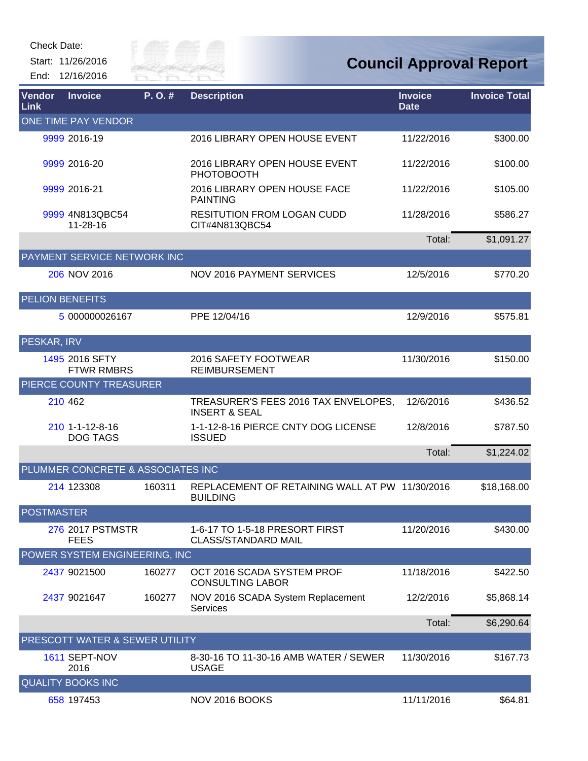Start: 11/26/2016 End: 12/16/2016



| Vendor<br>Link         | <b>Invoice</b>                      | P.O.#  | <b>Description</b>                                                | <b>Invoice</b><br><b>Date</b> | <b>Invoice Total</b> |
|------------------------|-------------------------------------|--------|-------------------------------------------------------------------|-------------------------------|----------------------|
|                        | ONE TIME PAY VENDOR                 |        |                                                                   |                               |                      |
|                        | 9999 2016-19                        |        | 2016 LIBRARY OPEN HOUSE EVENT                                     | 11/22/2016                    | \$300.00             |
|                        | 9999 2016-20                        |        | 2016 LIBRARY OPEN HOUSE EVENT<br><b>PHOTOBOOTH</b>                | 11/22/2016                    | \$100.00             |
|                        | 9999 2016-21                        |        | 2016 LIBRARY OPEN HOUSE FACE<br><b>PAINTING</b>                   | 11/22/2016                    | \$105.00             |
|                        | 9999 4N813QBC54<br>11-28-16         |        | <b>RESITUTION FROM LOGAN CUDD</b><br>CIT#4N813QBC54               | 11/28/2016                    | \$586.27             |
|                        |                                     |        |                                                                   | Total:                        | \$1,091.27           |
|                        | PAYMENT SERVICE NETWORK INC         |        |                                                                   |                               |                      |
|                        | 206 NOV 2016                        |        | <b>NOV 2016 PAYMENT SERVICES</b>                                  | 12/5/2016                     | \$770.20             |
| <b>PELION BENEFITS</b> |                                     |        |                                                                   |                               |                      |
|                        | 5 000000026167                      |        | PPE 12/04/16                                                      | 12/9/2016                     | \$575.81             |
| PESKAR, IRV            |                                     |        |                                                                   |                               |                      |
|                        | 1495 2016 SFTY<br><b>FTWR RMBRS</b> |        | 2016 SAFETY FOOTWEAR<br><b>REIMBURSEMENT</b>                      | 11/30/2016                    | \$150.00             |
|                        | PIERCE COUNTY TREASURER             |        |                                                                   |                               |                      |
|                        | 210 462                             |        | TREASURER'S FEES 2016 TAX ENVELOPES,<br><b>INSERT &amp; SEAL</b>  | 12/6/2016                     | \$436.52             |
|                        | 210 1-1-12-8-16<br><b>DOG TAGS</b>  |        | 1-1-12-8-16 PIERCE CNTY DOG LICENSE<br><b>ISSUED</b>              | 12/8/2016                     | \$787.50             |
|                        |                                     |        |                                                                   | Total:                        | \$1,224.02           |
|                        | PLUMMER CONCRETE & ASSOCIATES INC   |        |                                                                   |                               |                      |
|                        | 214 123308                          | 160311 | REPLACEMENT OF RETAINING WALL AT PW 11/30/2016<br><b>BUILDING</b> |                               | \$18,168.00          |
| <b>POSTMASTER</b>      |                                     |        |                                                                   |                               |                      |
|                        | 276 2017 PSTMSTR<br><b>FEES</b>     |        | 1-6-17 TO 1-5-18 PRESORT FIRST<br><b>CLASS/STANDARD MAIL</b>      | 11/20/2016                    | \$430.00             |
|                        | POWER SYSTEM ENGINEERING, INC       |        |                                                                   |                               |                      |
|                        | 2437 9021500                        | 160277 | OCT 2016 SCADA SYSTEM PROF<br><b>CONSULTING LABOR</b>             | 11/18/2016                    | \$422.50             |
|                        | 2437 9021647                        | 160277 | NOV 2016 SCADA System Replacement<br><b>Services</b>              | 12/2/2016                     | \$5,868.14           |
|                        |                                     |        |                                                                   | Total:                        | \$6,290.64           |
|                        | PRESCOTT WATER & SEWER UTILITY      |        |                                                                   |                               |                      |
|                        | 1611 SEPT-NOV<br>2016               |        | 8-30-16 TO 11-30-16 AMB WATER / SEWER<br><b>USAGE</b>             | 11/30/2016                    | \$167.73             |
|                        | <b>QUALITY BOOKS INC</b>            |        |                                                                   |                               |                      |
|                        | 658 197453                          |        | NOV 2016 BOOKS                                                    | 11/11/2016                    | \$64.81              |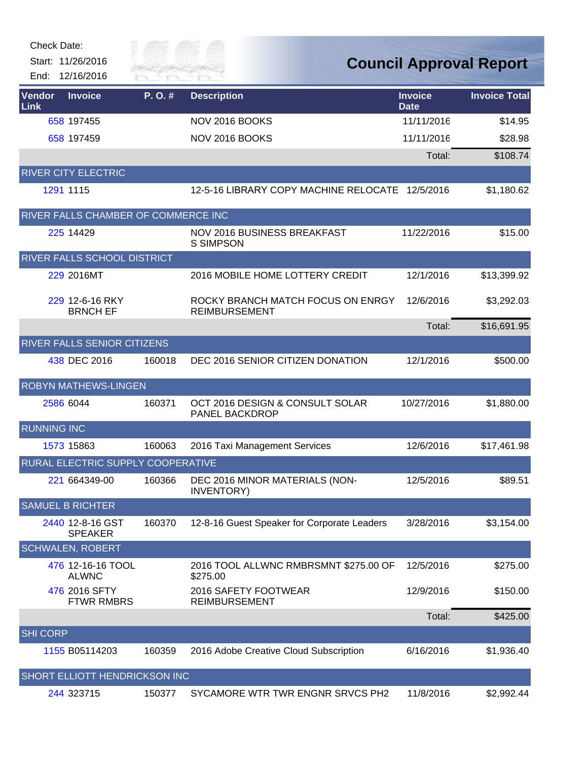| Check Date: |  |
|-------------|--|
|-------------|--|



**Council Approval Report**

| <b>Vendor</b><br>Link | <b>Invoice</b>                      | P.O.#  | <b>Description</b>                                        | <b>Invoice</b><br><b>Date</b> | <b>Invoice Total</b> |
|-----------------------|-------------------------------------|--------|-----------------------------------------------------------|-------------------------------|----------------------|
|                       | 658 197455                          |        | NOV 2016 BOOKS                                            | 11/11/2016                    | \$14.95              |
|                       | 658 197459                          |        | NOV 2016 BOOKS                                            | 11/11/2016                    | \$28.98              |
|                       |                                     |        |                                                           | Total:                        | \$108.74             |
|                       | <b>RIVER CITY ELECTRIC</b>          |        |                                                           |                               |                      |
|                       | 1291 1115                           |        | 12-5-16 LIBRARY COPY MACHINE RELOCATE                     | 12/5/2016                     | \$1,180.62           |
|                       | RIVER FALLS CHAMBER OF COMMERCE INC |        |                                                           |                               |                      |
|                       | 225 14429                           |        | NOV 2016 BUSINESS BREAKFAST<br><b>S SIMPSON</b>           | 11/22/2016                    | \$15.00              |
|                       | RIVER FALLS SCHOOL DISTRICT         |        |                                                           |                               |                      |
|                       | 229 2016MT                          |        | 2016 MOBILE HOME LOTTERY CREDIT                           | 12/1/2016                     | \$13,399.92          |
|                       | 229 12-6-16 RKY<br><b>BRNCH EF</b>  |        | ROCKY BRANCH MATCH FOCUS ON ENRGY<br><b>REIMBURSEMENT</b> | 12/6/2016                     | \$3,292.03           |
|                       |                                     |        |                                                           | Total:                        | \$16,691.95          |
|                       | RIVER FALLS SENIOR CITIZENS         |        |                                                           |                               |                      |
|                       | 438 DEC 2016                        | 160018 | DEC 2016 SENIOR CITIZEN DONATION                          | 12/1/2016                     | \$500.00             |
|                       | <b>ROBYN MATHEWS-LINGEN</b>         |        |                                                           |                               |                      |
|                       | 2586 6044                           | 160371 | OCT 2016 DESIGN & CONSULT SOLAR<br>PANEL BACKDROP         | 10/27/2016                    | \$1,880.00           |
| <b>RUNNING INC</b>    |                                     |        |                                                           |                               |                      |
|                       | 1573 15863                          | 160063 | 2016 Taxi Management Services                             | 12/6/2016                     | \$17,461.98          |
|                       | RURAL ELECTRIC SUPPLY COOPERATIVE   |        |                                                           |                               |                      |
|                       | 221 664349-00                       | 160366 | DEC 2016 MINOR MATERIALS (NON-<br><b>INVENTORY)</b>       | 12/5/2016                     | \$89.51              |
|                       | <b>SAMUEL B RICHTER</b>             |        |                                                           |                               |                      |
|                       | 2440 12-8-16 GST<br><b>SPEAKER</b>  | 160370 | 12-8-16 Guest Speaker for Corporate Leaders               | 3/28/2016                     | \$3,154.00           |
|                       | <b>SCHWALEN, ROBERT</b>             |        |                                                           |                               |                      |
|                       | 476 12-16-16 TOOL<br><b>ALWNC</b>   |        | 2016 TOOL ALLWNC RMBRSMNT \$275.00 OF<br>\$275.00         | 12/5/2016                     | \$275.00             |
|                       | 476 2016 SFTY<br><b>FTWR RMBRS</b>  |        | 2016 SAFETY FOOTWEAR<br><b>REIMBURSEMENT</b>              | 12/9/2016                     | \$150.00             |
|                       |                                     |        |                                                           | Total:                        | \$425.00             |
| <b>SHI CORP</b>       |                                     |        |                                                           |                               |                      |
|                       | 1155 B05114203                      | 160359 | 2016 Adobe Creative Cloud Subscription                    | 6/16/2016                     | \$1,936.40           |
|                       | SHORT ELLIOTT HENDRICKSON INC       |        |                                                           |                               |                      |
|                       | 244 323715                          | 150377 | SYCAMORE WTR TWR ENGNR SRVCS PH2                          | 11/8/2016                     | \$2,992.44           |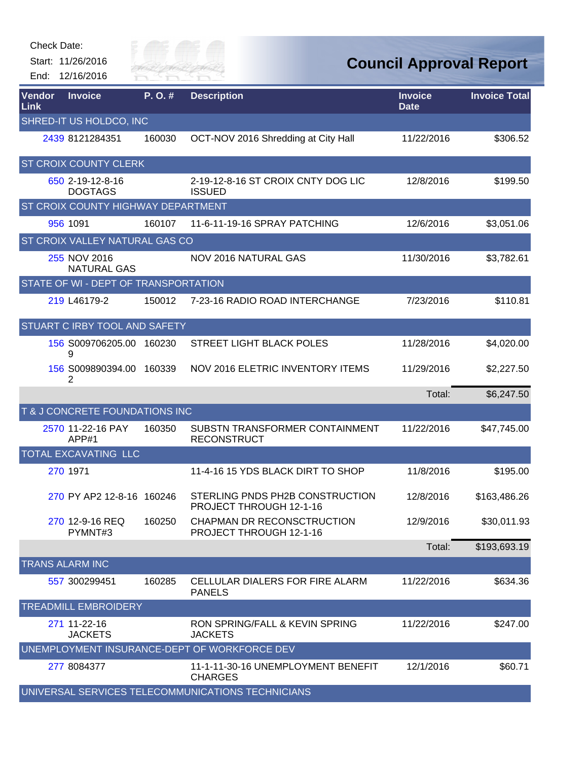

| Vendor<br>Link | <b>Invoice</b>                       | P.O.#  | <b>Description</b>                                         | <b>Invoice</b><br><b>Date</b> | <b>Invoice Total</b> |
|----------------|--------------------------------------|--------|------------------------------------------------------------|-------------------------------|----------------------|
|                | SHRED-IT US HOLDCO, INC              |        |                                                            |                               |                      |
|                | 2439 8121284351                      | 160030 | OCT-NOV 2016 Shredding at City Hall                        | 11/22/2016                    | \$306.52             |
|                | ST CROIX COUNTY CLERK                |        |                                                            |                               |                      |
|                | 650 2-19-12-8-16<br><b>DOGTAGS</b>   |        | 2-19-12-8-16 ST CROIX CNTY DOG LIC<br><b>ISSUED</b>        | 12/8/2016                     | \$199.50             |
|                | ST CROIX COUNTY HIGHWAY DEPARTMENT   |        |                                                            |                               |                      |
|                | 956 1091                             | 160107 | 11-6-11-19-16 SPRAY PATCHING                               | 12/6/2016                     | \$3,051.06           |
|                | ST CROIX VALLEY NATURAL GAS CO       |        |                                                            |                               |                      |
|                | 255 NOV 2016<br><b>NATURAL GAS</b>   |        | NOV 2016 NATURAL GAS                                       | 11/30/2016                    | \$3,782.61           |
|                | STATE OF WI - DEPT OF TRANSPORTATION |        |                                                            |                               |                      |
|                | 219 L46179-2                         | 150012 | 7-23-16 RADIO ROAD INTERCHANGE                             | 7/23/2016                     | \$110.81             |
|                | STUART C IRBY TOOL AND SAFETY        |        |                                                            |                               |                      |
|                | 156 S009706205.00 160230<br>9        |        | STREET LIGHT BLACK POLES                                   | 11/28/2016                    | \$4,020.00           |
|                | 156 S009890394.00<br>2               | 160339 | NOV 2016 ELETRIC INVENTORY ITEMS                           | 11/29/2016                    | \$2,227.50           |
|                |                                      |        |                                                            | Total:                        | \$6,247.50           |
|                | T & J CONCRETE FOUNDATIONS INC       |        |                                                            |                               |                      |
|                | 2570 11-22-16 PAY<br>APP#1           | 160350 | SUBSTN TRANSFORMER CONTAINMENT<br><b>RECONSTRUCT</b>       | 11/22/2016                    | \$47,745.00          |
|                | <b>TOTAL EXCAVATING LLC</b>          |        |                                                            |                               |                      |
|                | 270 1971                             |        | 11-4-16 15 YDS BLACK DIRT TO SHOP                          | 11/8/2016                     | \$195.00             |
|                | 270 PY AP2 12-8-16 160246            |        | STERLING PNDS PH2B CONSTRUCTION<br>PROJECT THROUGH 12-1-16 | 12/8/2016                     | \$163,486.26         |
|                | 270 12-9-16 REQ<br>PYMNT#3           | 160250 | CHAPMAN DR RECONSCTRUCTION<br>PROJECT THROUGH 12-1-16      | 12/9/2016                     | \$30,011.93          |
|                |                                      |        |                                                            | Total:                        | \$193,693.19         |
|                | <b>TRANS ALARM INC</b>               |        |                                                            |                               |                      |
|                | 557 300299451                        | 160285 | <b>CELLULAR DIALERS FOR FIRE ALARM</b><br><b>PANELS</b>    | 11/22/2016                    | \$634.36             |
|                | <b>TREADMILL EMBROIDERY</b>          |        |                                                            |                               |                      |
|                | 271 11-22-16<br><b>JACKETS</b>       |        | RON SPRING/FALL & KEVIN SPRING<br><b>JACKETS</b>           | 11/22/2016                    | \$247.00             |
|                |                                      |        | UNEMPLOYMENT INSURANCE-DEPT OF WORKFORCE DEV               |                               |                      |
|                | 277 8084377                          |        | 11-1-11-30-16 UNEMPLOYMENT BENEFIT<br><b>CHARGES</b>       | 12/1/2016                     | \$60.71              |
|                |                                      |        | UNIVERSAL SERVICES TELECOMMUNICATIONS TECHNICIANS          |                               |                      |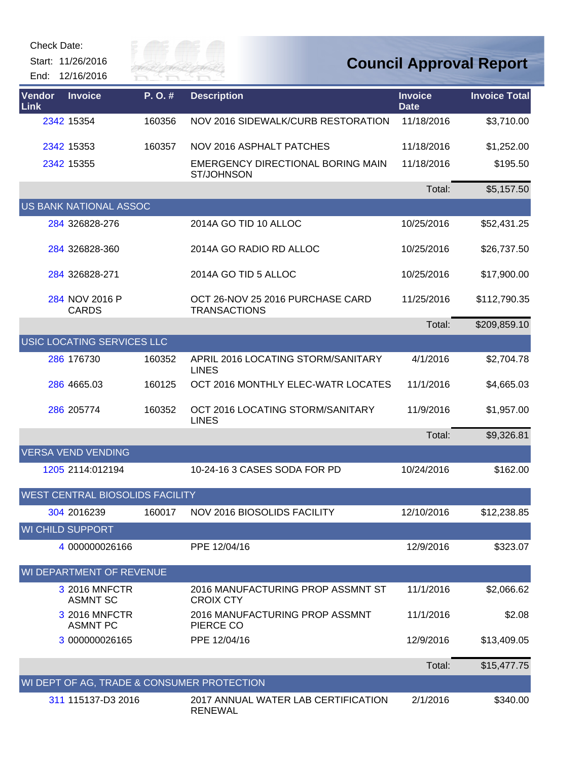| Check Date:<br>Start: 11/26/2016<br>End: 12/16/2016 | ily of p<br>River Fai |                                                         |                               | <b>Council Approval Report</b> |
|-----------------------------------------------------|-----------------------|---------------------------------------------------------|-------------------------------|--------------------------------|
| Vendor<br><b>Invoice</b><br>Link                    | P.O.#                 | <b>Description</b>                                      | <b>Invoice</b><br><b>Date</b> | <b>Invoice Total</b>           |
| 2342 15354                                          | 160356                | NOV 2016 SIDEWALK/CURB RESTORATION                      | 11/18/2016                    | \$3,710.00                     |
| 2342 15353                                          | 160357                | NOV 2016 ASPHALT PATCHES                                | 11/18/2016                    | \$1,252.00                     |
| 2342 15355                                          |                       | EMERGENCY DIRECTIONAL BORING MAIN<br><b>ST/JOHNSON</b>  | 11/18/2016                    | \$195.50                       |
|                                                     |                       |                                                         | Total:                        | \$5,157.50                     |
| <b>US BANK NATIONAL ASSOC</b>                       |                       |                                                         |                               |                                |
| 284 326828-276                                      |                       | 2014A GO TID 10 ALLOC                                   | 10/25/2016                    | \$52,431.25                    |
| 284 326828-360                                      |                       | 2014A GO RADIO RD ALLOC                                 | 10/25/2016                    | \$26,737.50                    |
| 284 326828-271                                      |                       | 2014A GO TID 5 ALLOC                                    | 10/25/2016                    | \$17,900.00                    |
| 284 NOV 2016 P<br><b>CARDS</b>                      |                       | OCT 26-NOV 25 2016 PURCHASE CARD<br><b>TRANSACTIONS</b> | 11/25/2016                    | \$112,790.35                   |
|                                                     |                       |                                                         | Total:                        | \$209,859.10                   |
| USIC LOCATING SERVICES LLC                          |                       |                                                         |                               |                                |
| 286 176730                                          | 160352                | APRIL 2016 LOCATING STORM/SANITARY<br><b>LINES</b>      | 4/1/2016                      | \$2,704.78                     |
| 286 4665.03                                         | 160125                | OCT 2016 MONTHLY ELEC-WATR LOCATES                      | 11/1/2016                     | \$4,665.03                     |
| 286 205774                                          | 160352                | OCT 2016 LOCATING STORM/SANITARY<br><b>LINES</b>        | 11/9/2016                     | \$1,957.00                     |
|                                                     |                       |                                                         | Total:                        | \$9,326.81                     |
| <b>VERSA VEND VENDING</b>                           |                       |                                                         |                               |                                |
| 1205 2114:012194                                    |                       | 10-24-16 3 CASES SODA FOR PD                            | 10/24/2016                    | \$162.00                       |
| <b>WEST CENTRAL BIOSOLIDS FACILITY</b>              |                       |                                                         |                               |                                |
| 304 2016239                                         | 160017                | NOV 2016 BIOSOLIDS FACILITY                             | 12/10/2016                    | \$12,238.85                    |
| <b>WI CHILD SUPPORT</b>                             |                       |                                                         |                               |                                |
| 4 000000026166                                      |                       | PPE 12/04/16                                            | 12/9/2016                     | \$323.07                       |
| WI DEPARTMENT OF REVENUE                            |                       |                                                         |                               |                                |
| 3 2016 MNFCTR<br><b>ASMNT SC</b>                    |                       | 2016 MANUFACTURING PROP ASSMNT ST<br><b>CROIX CTY</b>   | 11/1/2016                     | \$2,066.62                     |
| 3 2016 MNFCTR<br><b>ASMNT PC</b>                    |                       | 2016 MANUFACTURING PROP ASSMNT<br>PIERCE CO             | 11/1/2016                     | \$2.08                         |
| 3 000000026165                                      |                       | PPE 12/04/16                                            | 12/9/2016                     | \$13,409.05                    |
|                                                     |                       |                                                         | Total:                        | \$15,477.75                    |
| WI DEPT OF AG, TRADE & CONSUMER PROTECTION          |                       |                                                         |                               |                                |
| 311 115137-D3 2016                                  |                       | 2017 ANNUAL WATER LAB CERTIFICATION<br><b>RENEWAL</b>   | 2/1/2016                      | \$340.00                       |